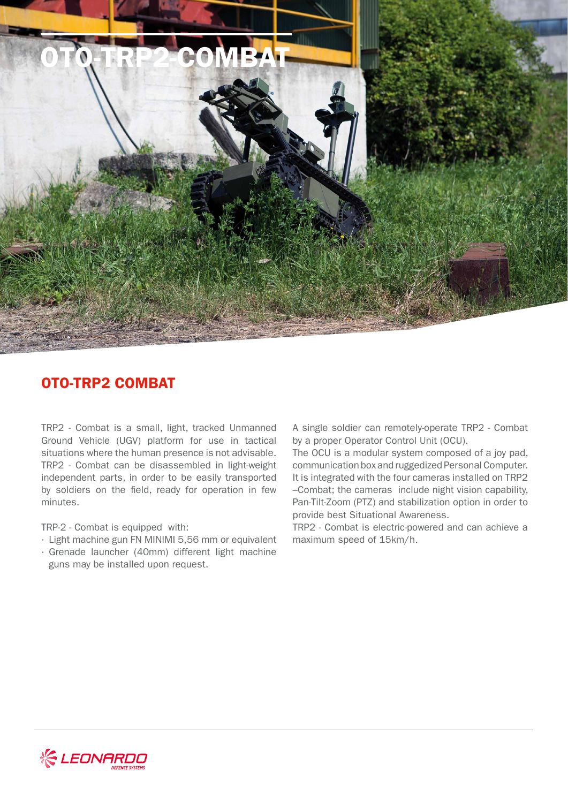

## OTO-TRP2 COMBAT

TRP2 - Combat is a small, light, tracked Unmanned Ground Vehicle (UGV) platform for use in tactical situations where the human presence is not advisable. TRP2 - Combat can be disassembled in light-weight independent parts, in order to be easily transported by soldiers on the field, ready for operation in few minutes.

TRP-2 - Combat is equipped with:

- · Light machine gun FN MINIMI 5,56 mm or equivalent
- · Grenade launcher (40mm) different light machine guns may be installed upon request.

A single soldier can remotely-operate TRP2 - Combat by a proper Operator Control Unit (OCU).

The OCU is a modular system composed of a joy pad, communication box and ruggedized Personal Computer. It is integrated with the four cameras installed on TRP2 –Combat; the cameras include night vision capability, Pan-Tilt-Zoom (PTZ) and stabilization option in order to provide best Situational Awareness.

TRP2 - Combat is electric-powered and can achieve a maximum speed of 15km/h.